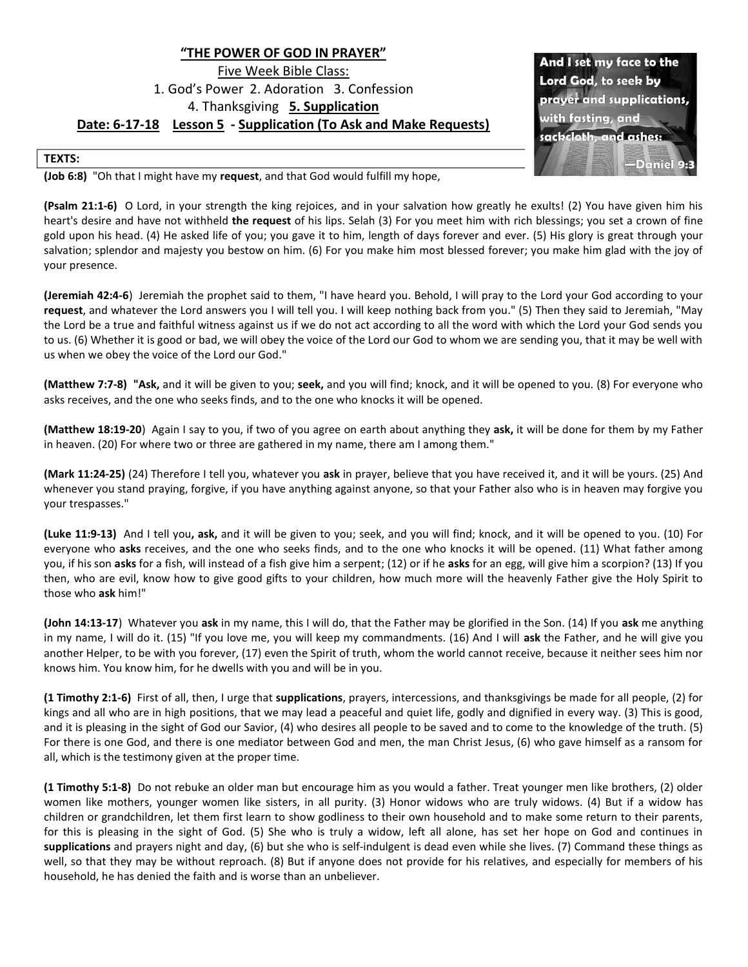## "THE POWER OF GOD IN PRAYER" Five Week Bible Class: 1. God's Power 2. Adoration 3. Confession 4. Thanksgiving 5. Supplication Date: 6-17-18 Lesson 5 - Supplication (To Ask and Make Requests)

And I set my face to the Lord God, to seek by prayer and supplications, vith fasting, and sackclotl and ashes: Daniel

## TEXTS:

(Job 6:8) "Oh that I might have my request, and that God would fulfill my hope,

(Psalm 21:1-6) O Lord, in your strength the king rejoices, and in your salvation how greatly he exults! (2) You have given him his heart's desire and have not withheld the request of his lips. Selah (3) For you meet him with rich blessings; you set a crown of fine gold upon his head. (4) He asked life of you; you gave it to him, length of days forever and ever. (5) His glory is great through your salvation; splendor and majesty you bestow on him. (6) For you make him most blessed forever; you make him glad with the joy of your presence.

(Jeremiah 42:4-6) Jeremiah the prophet said to them, "I have heard you. Behold, I will pray to the Lord your God according to your request, and whatever the Lord answers you I will tell you. I will keep nothing back from you." (5) Then they said to Jeremiah, "May the Lord be a true and faithful witness against us if we do not act according to all the word with which the Lord your God sends you to us. (6) Whether it is good or bad, we will obey the voice of the Lord our God to whom we are sending you, that it may be well with us when we obey the voice of the Lord our God."

(Matthew 7:7-8) "Ask, and it will be given to you; seek, and you will find; knock, and it will be opened to you. (8) For everyone who asks receives, and the one who seeks finds, and to the one who knocks it will be opened.

(Matthew 18:19-20) Again I say to you, if two of you agree on earth about anything they ask, it will be done for them by my Father in heaven. (20) For where two or three are gathered in my name, there am I among them."

(Mark 11:24-25) (24) Therefore I tell you, whatever you ask in prayer, believe that you have received it, and it will be yours. (25) And whenever you stand praying, forgive, if you have anything against anyone, so that your Father also who is in heaven may forgive you your trespasses."

(Luke 11:9-13) And I tell you, ask, and it will be given to you; seek, and you will find; knock, and it will be opened to you. (10) For everyone who asks receives, and the one who seeks finds, and to the one who knocks it will be opened. (11) What father among you, if his son asks for a fish, will instead of a fish give him a serpent; (12) or if he asks for an egg, will give him a scorpion? (13) If you then, who are evil, know how to give good gifts to your children, how much more will the heavenly Father give the Holy Spirit to those who ask him!"

(John 14:13-17) Whatever you ask in my name, this I will do, that the Father may be glorified in the Son. (14) If you ask me anything in my name, I will do it. (15) "If you love me, you will keep my commandments. (16) And I will ask the Father, and he will give you another Helper, to be with you forever, (17) even the Spirit of truth, whom the world cannot receive, because it neither sees him nor knows him. You know him, for he dwells with you and will be in you.

(1 Timothy 2:1-6) First of all, then, I urge that supplications, prayers, intercessions, and thanksgivings be made for all people, (2) for kings and all who are in high positions, that we may lead a peaceful and quiet life, godly and dignified in every way. (3) This is good, and it is pleasing in the sight of God our Savior, (4) who desires all people to be saved and to come to the knowledge of the truth. (5) For there is one God, and there is one mediator between God and men, the man Christ Jesus, (6) who gave himself as a ransom for all, which is the testimony given at the proper time.

(1 Timothy 5:1-8) Do not rebuke an older man but encourage him as you would a father. Treat younger men like brothers, (2) older women like mothers, younger women like sisters, in all purity. (3) Honor widows who are truly widows. (4) But if a widow has children or grandchildren, let them first learn to show godliness to their own household and to make some return to their parents, for this is pleasing in the sight of God. (5) She who is truly a widow, left all alone, has set her hope on God and continues in supplications and prayers night and day, (6) but she who is self-indulgent is dead even while she lives. (7) Command these things as well, so that they may be without reproach. (8) But if anyone does not provide for his relatives, and especially for members of his household, he has denied the faith and is worse than an unbeliever.